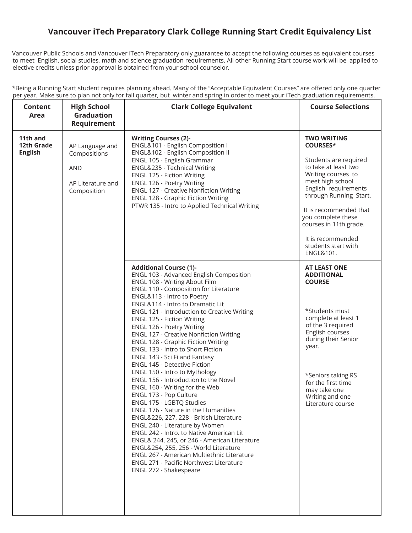## **Vancouver iTech Preparatory Clark College Running Start Credit Equivalency List**

Vancouver Public Schools and Vancouver iTech Preparatory only guarantee to accept the following courses as equivalent courses to meet English, social studies, math and science graduation requirements. All other Running Start course work will be applied to elective credits unless prior approval is obtained from your school counselor.

| *Being a Running Start student requires planning ahead. Many of the "Acceptable Equivalent Courses" are offered only one quarter  |  |  |  |  |  |
|-----------------------------------------------------------------------------------------------------------------------------------|--|--|--|--|--|
| per year. Make sure to plan not only for fall quarter, but winter and spring in order to meet your iTech graduation requirements. |  |  |  |  |  |

| <b>Content</b><br>Area                   | <b>High School</b><br><b>Graduation</b><br><b>Requirement</b>                     | <b>Clark College Equivalent</b>                                                                                                                                                                                                                                                                                                                                                                                                                                                                                                                                                                                                                                                                                                                                                                                                                                                                                                                                                                                                                                                                             | <b>Course Selections</b>                                                                                                                                                                                                                                                                                              |
|------------------------------------------|-----------------------------------------------------------------------------------|-------------------------------------------------------------------------------------------------------------------------------------------------------------------------------------------------------------------------------------------------------------------------------------------------------------------------------------------------------------------------------------------------------------------------------------------------------------------------------------------------------------------------------------------------------------------------------------------------------------------------------------------------------------------------------------------------------------------------------------------------------------------------------------------------------------------------------------------------------------------------------------------------------------------------------------------------------------------------------------------------------------------------------------------------------------------------------------------------------------|-----------------------------------------------------------------------------------------------------------------------------------------------------------------------------------------------------------------------------------------------------------------------------------------------------------------------|
| 11th and<br>12th Grade<br><b>English</b> | AP Language and<br>Compositions<br><b>AND</b><br>AP Literature and<br>Composition | <b>Writing Courses (2)-</b><br>ENGL&101 - English Composition I<br>ENGL&102 - English Composition II<br>ENGL 105 - English Grammar<br>ENGL&235 - Technical Writing<br>ENGL 125 - Fiction Writing<br>ENGL 126 - Poetry Writing<br><b>ENGL 127 - Creative Nonfiction Writing</b><br><b>ENGL 128 - Graphic Fiction Writing</b><br>PTWR 135 - Intro to Applied Technical Writing                                                                                                                                                                                                                                                                                                                                                                                                                                                                                                                                                                                                                                                                                                                                | <b>TWO WRITING</b><br><b>COURSES*</b><br>Students are required<br>to take at least two<br>Writing courses to<br>meet high school<br>English requirements<br>through Running Start.<br>It is recommended that<br>you complete these<br>courses in 11th grade.<br>It is recommended<br>students start with<br>ENGL&101. |
|                                          |                                                                                   | <b>Additional Course (1)-</b><br>ENGL 103 - Advanced English Composition<br>ENGL 108 - Writing About Film<br>ENGL 110 - Composition for Literature<br>ENGL&113 - Intro to Poetry<br>ENGL&114 - Intro to Dramatic Lit<br><b>ENGL 121 - Introduction to Creative Writing</b><br><b>ENGL 125 - Fiction Writing</b><br>ENGL 126 - Poetry Writing<br><b>ENGL 127 - Creative Nonfiction Writing</b><br><b>ENGL 128 - Graphic Fiction Writing</b><br>ENGL 133 - Intro to Short Fiction<br>ENGL 143 - Sci Fi and Fantasy<br>ENGL 145 - Detective Fiction<br>ENGL 150 - Intro to Mythology<br>ENGL 156 - Introduction to the Novel<br>ENGL 160 - Writing for the Web<br>ENGL 173 - Pop Culture<br>ENGL 175 - LGBTQ Studies<br>ENGL 176 - Nature in the Humanities<br>ENGL&226, 227, 228 - British Literature<br>ENGL 240 - Literature by Women<br><b>ENGL 242 - Intro. to Native American Lit</b><br>ENGL& 244, 245, or 246 - American Literature<br>ENGL&254, 255, 256 - World Literature<br>ENGL 267 - American Multiethnic Literature<br><b>ENGL 271 - Pacific Northwest Literature</b><br>ENGL 272 - Shakespeare | <b>AT LEAST ONE</b><br><b>ADDITIONAL</b><br><b>COURSE</b><br>*Students must<br>complete at least 1<br>of the 3 required<br>English courses<br>during their Senior<br>year.<br>*Seniors taking RS<br>for the first time<br>may take one<br>Writing and one<br>Literature course                                        |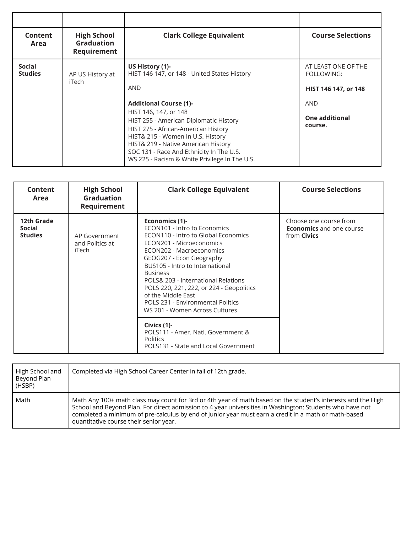| Content<br>Area                 | <b>High School</b><br><b>Graduation</b><br>Requirement | <b>Clark College Equivalent</b>                                                                                                                                                                                                                                                                                                                                                                   | <b>Course Selections</b>                                                                                    |
|---------------------------------|--------------------------------------------------------|---------------------------------------------------------------------------------------------------------------------------------------------------------------------------------------------------------------------------------------------------------------------------------------------------------------------------------------------------------------------------------------------------|-------------------------------------------------------------------------------------------------------------|
| <b>Social</b><br><b>Studies</b> | AP US History at<br>iTech                              | US History (1)-<br>HIST 146 147, or 148 - United States History<br><b>AND</b><br><b>Additional Course (1)-</b><br>HIST 146, 147, or 148<br>HIST 255 - American Diplomatic History<br>HIST 275 - African-American History<br>HIST& 215 - Women In U.S. History<br>HIST& 219 - Native American History<br>SOC 131 - Race And Ethnicity In The U.S.<br>WS 225 - Racism & White Privilege In The U.S. | AT LEAST ONE OF THE<br>FOLLOWING:<br>HIST 146 147, or 148<br><b>AND</b><br><b>One additional</b><br>course. |

| Content<br>Area                        | <b>High School</b><br><b>Graduation</b><br>Requirement | <b>Clark College Equivalent</b>                                                                                                                                                                                                                                                                                                                                                                                 | <b>Course Selections</b>                                                        |
|----------------------------------------|--------------------------------------------------------|-----------------------------------------------------------------------------------------------------------------------------------------------------------------------------------------------------------------------------------------------------------------------------------------------------------------------------------------------------------------------------------------------------------------|---------------------------------------------------------------------------------|
| 12th Grade<br>Social<br><b>Studies</b> | AP Government<br>and Politics at<br>iTech              | Economics (1)-<br>ECON101 - Intro to Economics<br>ECON110 - Intro to Global Economics<br>ECON201 - Microeconomics<br>ECON202 - Macroeconomics<br>GEOG207 - Econ Geography<br>BUS105 - Intro to International<br><b>Business</b><br>POLS& 203 - International Relations<br>POLS 220, 221, 222, or 224 - Geopolitics<br>of the Middle East<br>POLS 231 - Environmental Politics<br>WS 201 - Women Across Cultures | Choose one course from<br><b>Economics</b> and one course<br>from <b>Civics</b> |
|                                        |                                                        | Civics (1)-<br>POLS111 - Amer. Natl. Government &<br><b>Politics</b><br>POLS131 - State and Local Government                                                                                                                                                                                                                                                                                                    |                                                                                 |

| High School and<br>Beyond Plan<br>(HSBP) | Completed via High School Career Center in fall of 12th grade.                                                                                                                                                                                                                                                                                                             |
|------------------------------------------|----------------------------------------------------------------------------------------------------------------------------------------------------------------------------------------------------------------------------------------------------------------------------------------------------------------------------------------------------------------------------|
| Math                                     | Math Any 100+ math class may count for 3rd or 4th year of math based on the student's interests and the High<br>School and Beyond Plan. For direct admission to 4 year universities in Washington: Students who have not<br>completed a minimum of pre-calculus by end of junior year must earn a credit in a math or math-based<br>quantitative course their senior year. |